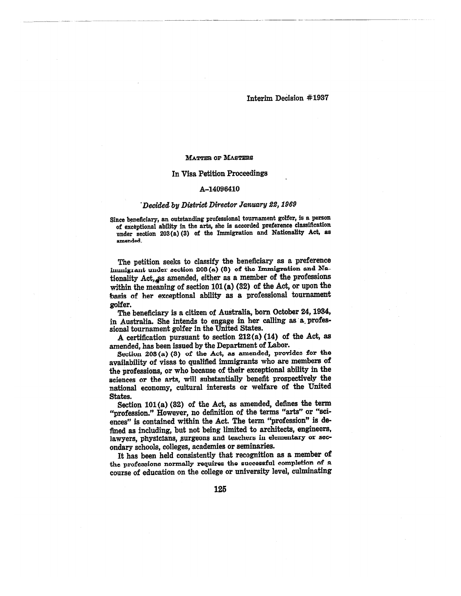### **MATTER or MASTERS**

### **In Visa Petition Proceedings**

#### **A-14096410**

## *Decided by District Director January 22, 1969*

**Since beneficiary, an outstanding professional tournament golfer, is a person of exceptional ability in the arts, she is accorded preference classification under section 203(a) (3) of the Immigration and Nationality Act, as amended.** 

**The petition seeks to classify the beneficiary as a preference immigrant under section 208(a) (3) of the Immigration and Na**tionality Act, as amended, either as a member of the professions **within the meaning of section 101 (a) (32) of the Act, or upon the basis of her exceptional ability as a professional tournament golfer.** 

**The beneficiary is a citizen of Australia, born October 24, 1934,**  in Australia. She intends to engage in her calling as a profes**sional tournament golfer in the United States.** 

**A certification pursuant to section 212(a) (14) of the Act, as amended, has been issued by the Department of Labor.** 

**Section 203 (a) (8) of the Act, as amended, provides for** the *availability* **of visas to qualified immigrants who are members of the professions, or who because of their exceptional ability in the sciences or the arts, will substantially benefit prospectively the national economy, cultural interests or welfare of the United States.** 

**Section 101 (a) (32) of the Act, as amended, defines the term "profession." However, no definition of the terms "arts" or "sciences" is contained within the Act. The term "profession" is defined as including, but not being limited to architects, engineers, lawyers, physicians, surgeons and teachers in elementary or secondary schools, colleges, academies or seminaries.** 

**It has been held consistently that recognition as a member of the professions normally requires the successful completion of a course of education on the college or university level, culminating**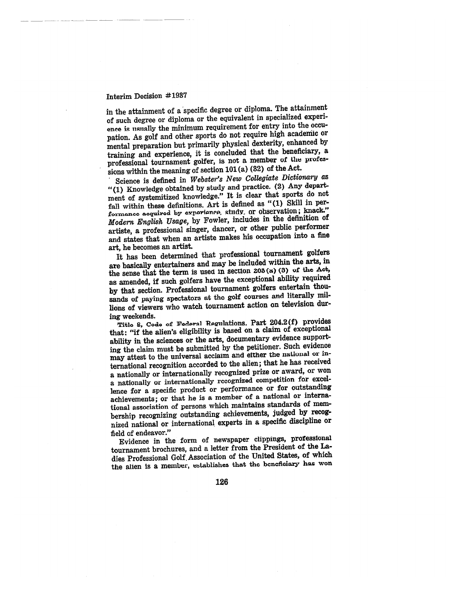# Interim Decision #1937

in the attainment of a specific degree or diploma. The attainment of such degree or diploma or the equivalent in specialized experience is usually the minimum requirement for entry into the occupation. As golf and other sports do not require high acadeniic or mental preparation but primarily physical dexterity, enhanced by training and experience, it is concluded that the beneficiary, a professional tournament golfer, is not a member of the professions within the meaning of section 101 (a) (32) of the Act.

Science is defined in *Webster's New Collegiate Dictionary* as "(1) *Knowledge* obtained by study and practice. (2) Any department of systemitized knowledge." It is clear that sports do not fall within these definitions. Art is defined as "(I) Skill in performance acquired by experience, study, or observation; knack." *Modern English Usage,* by Fowler, includes in the definition of artiste, a professional singer, dancer, or other public performer and states that when an artiste makes his occupation into a fine art, he becomes an artist.

It has been determined that professional tournament golfers are basically entertainers and may *be* included within the arts, in the sense that the term is used in section 203 (a) (3) of the Act, as amended, if such golfers have the exceptional ability required by that section. Professional tournament golfers entertain thousands of paying spectators at the golf courses and literally millions of viewers who watch tournament action on television during weekends.

Title 3, Code of Federal Regulations, Part 204.2(f) provides that: "if the alien's eligibility is based on a claim of exceptional ability in the sciences or the arts, documentary evidence supporting the claim must be submitted by the petitioner. Such evidence may attest to the universal acclaim and either the national or international recognition accorded to the alien; that he has received a nationally or internationally recognized prize or award, or won a nationally or internationally recognized competition for excellence for a specific product or performance or for outstanding achievements ; or that he is a member of a national or international association of persons which maintains standards of membership recognizing outstanding achievements, judged by **recognized** national or international experts in a specific discipline or field of endeavor."

Evidence in the form of newspaper clippings, professional tournament brochures, and a letter from the President of the Ladies Professional Golf. Association of the United States, of which the alien is a member, establishes that the beneficiary has won